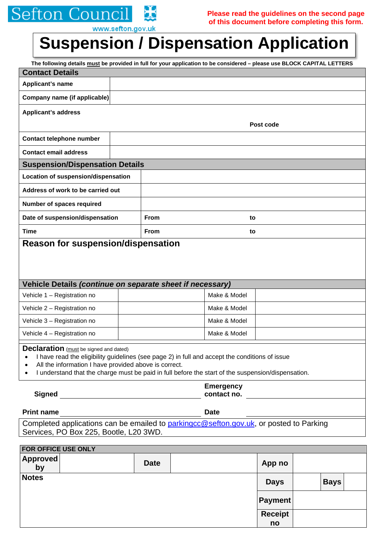## **Sefton Council**  $\bf{H}$

www.sefton.gov.uk

# **Suspension / Dispensation Application**

|                                                                                                                                                                                                                                                                                                                             |  |                                 |              | The following details must be provided in full for your application to be considered - please use BLOCK CAPITAL LETTERS |  |  |  |  |
|-----------------------------------------------------------------------------------------------------------------------------------------------------------------------------------------------------------------------------------------------------------------------------------------------------------------------------|--|---------------------------------|--------------|-------------------------------------------------------------------------------------------------------------------------|--|--|--|--|
| <b>Contact Details</b>                                                                                                                                                                                                                                                                                                      |  |                                 |              |                                                                                                                         |  |  |  |  |
| Applicant's name                                                                                                                                                                                                                                                                                                            |  |                                 |              |                                                                                                                         |  |  |  |  |
| Company name (if applicable)                                                                                                                                                                                                                                                                                                |  |                                 |              |                                                                                                                         |  |  |  |  |
| <b>Applicant's address</b>                                                                                                                                                                                                                                                                                                  |  |                                 |              |                                                                                                                         |  |  |  |  |
|                                                                                                                                                                                                                                                                                                                             |  |                                 |              | Post code                                                                                                               |  |  |  |  |
| Contact telephone number                                                                                                                                                                                                                                                                                                    |  |                                 |              |                                                                                                                         |  |  |  |  |
| <b>Contact email address</b>                                                                                                                                                                                                                                                                                                |  |                                 |              |                                                                                                                         |  |  |  |  |
| <b>Suspension/Dispensation Details</b>                                                                                                                                                                                                                                                                                      |  |                                 |              |                                                                                                                         |  |  |  |  |
| Location of suspension/dispensation                                                                                                                                                                                                                                                                                         |  |                                 |              |                                                                                                                         |  |  |  |  |
| Address of work to be carried out                                                                                                                                                                                                                                                                                           |  |                                 |              |                                                                                                                         |  |  |  |  |
| Number of spaces required                                                                                                                                                                                                                                                                                                   |  |                                 |              |                                                                                                                         |  |  |  |  |
| Date of suspension/dispensation                                                                                                                                                                                                                                                                                             |  | <b>From</b>                     | to           |                                                                                                                         |  |  |  |  |
| <b>Time</b>                                                                                                                                                                                                                                                                                                                 |  | <b>From</b>                     | to           |                                                                                                                         |  |  |  |  |
| Vehicle Details (continue on separate sheet if necessary)                                                                                                                                                                                                                                                                   |  |                                 |              |                                                                                                                         |  |  |  |  |
| Vehicle 1 - Registration no                                                                                                                                                                                                                                                                                                 |  |                                 | Make & Model |                                                                                                                         |  |  |  |  |
| Vehicle 2 - Registration no                                                                                                                                                                                                                                                                                                 |  |                                 | Make & Model |                                                                                                                         |  |  |  |  |
| Vehicle 3 - Registration no                                                                                                                                                                                                                                                                                                 |  |                                 | Make & Model |                                                                                                                         |  |  |  |  |
| Vehicle 4 - Registration no                                                                                                                                                                                                                                                                                                 |  |                                 | Make & Model |                                                                                                                         |  |  |  |  |
| <b>Declaration</b> (must be signed and dated)<br>I have read the eligibility guidelines (see page 2) in full and accept the conditions of issue<br>All the information I have provided above is correct.<br>$\bullet$<br>I understand that the charge must be paid in full before the start of the suspension/dispensation. |  |                                 |              |                                                                                                                         |  |  |  |  |
| <b>Signed</b>                                                                                                                                                                                                                                                                                                               |  | <b>Emergency</b><br>contact no. |              |                                                                                                                         |  |  |  |  |
|                                                                                                                                                                                                                                                                                                                             |  |                                 |              |                                                                                                                         |  |  |  |  |
| Print name<br>Completed applications can be emailed to parkingco@sefton.gov.uk, or posted to Parking<br>Services, PO Box 225, Bootle, L20 3WD.                                                                                                                                                                              |  |                                 |              |                                                                                                                         |  |  |  |  |
| FOR OFFICE USE ONLY                                                                                                                                                                                                                                                                                                         |  |                                 |              |                                                                                                                         |  |  |  |  |

| IT ON OFFICE OUL ONLY |  |             |  |                |  |             |  |  |  |  |  |
|-----------------------|--|-------------|--|----------------|--|-------------|--|--|--|--|--|
| <b>Approved</b><br>by |  | <b>Date</b> |  | App no         |  |             |  |  |  |  |  |
| <b>Notes</b>          |  |             |  | <b>Days</b>    |  | <b>Bays</b> |  |  |  |  |  |
|                       |  |             |  | <b>Payment</b> |  |             |  |  |  |  |  |
|                       |  |             |  | <b>Receipt</b> |  |             |  |  |  |  |  |
|                       |  |             |  | no             |  |             |  |  |  |  |  |